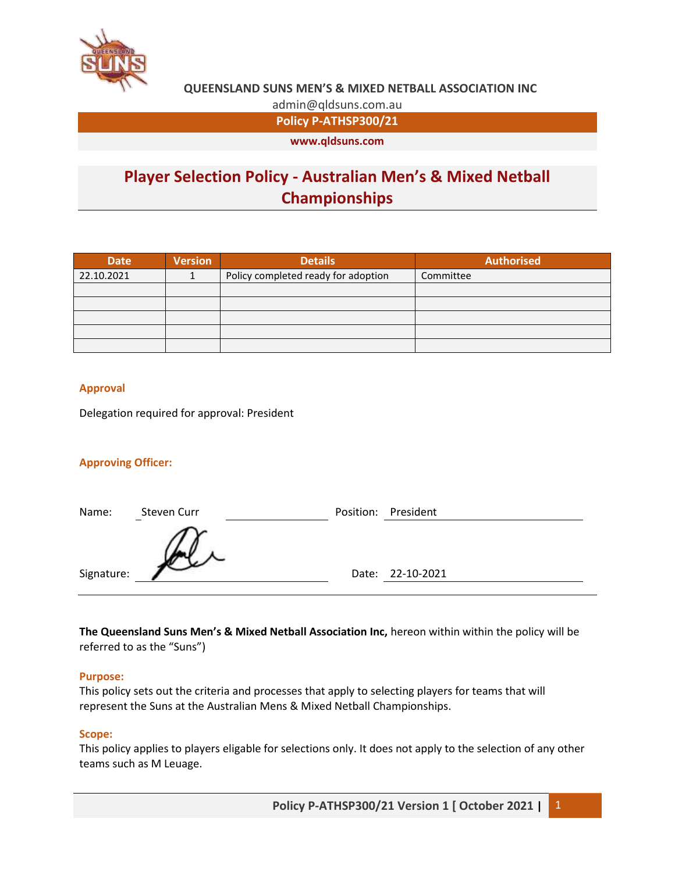

admin@qldsuns.com.au

**Policy P-ATHSP300/21**

**www.qldsuns.com**

# **Player Selection Policy - Australian Men's & Mixed Netball Championships**

| <b>Date</b> | <b>Version</b> | <b>Details</b>                      | <b>Authorised</b> |
|-------------|----------------|-------------------------------------|-------------------|
| 22.10.2021  |                | Policy completed ready for adoption | Committee         |
|             |                |                                     |                   |
|             |                |                                     |                   |
|             |                |                                     |                   |
|             |                |                                     |                   |
|             |                |                                     |                   |

## **Approval**

Delegation required for approval: President

## **Approving Officer:**

| Name:      | Steven Curr | Position: President |
|------------|-------------|---------------------|
|            |             |                     |
| Signature: |             | Date: 22-10-2021    |

**The Queensland Suns Men's & Mixed Netball Association Inc,** hereon within within the policy will be referred to as the "Suns")

#### **Purpose:**

This policy sets out the criteria and processes that apply to selecting players for teams that will represent the Suns at the Australian Mens & Mixed Netball Championships.

#### **Scope:**

This policy applies to players eligable for selections only. It does not apply to the selection of any other teams such as M Leuage.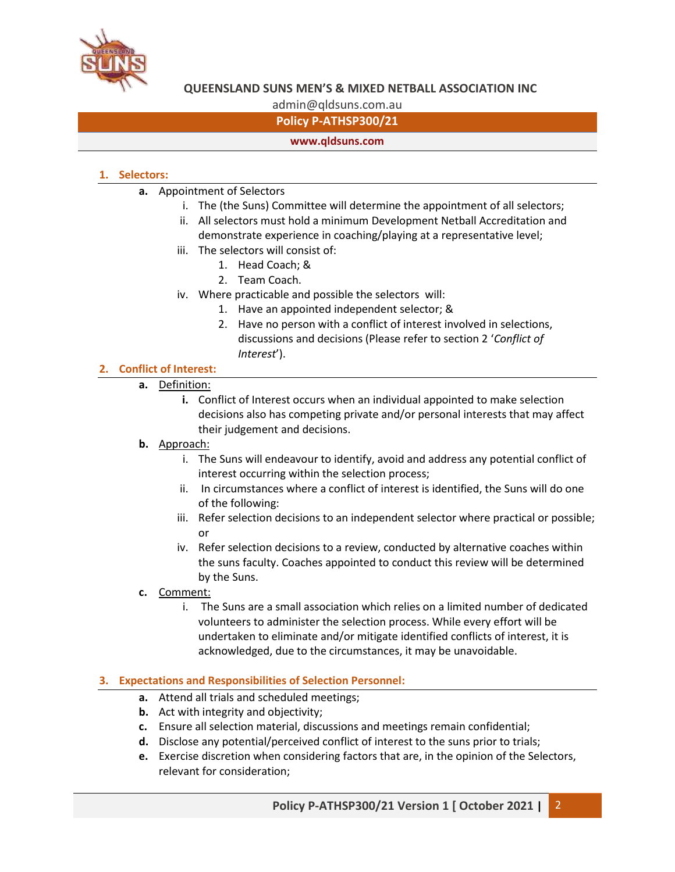

admin@qldsuns.com.au

# **Policy P-ATHSP300/21**

## **www.qldsuns.com**

# **1. Selectors:**

- **a.** Appointment of Selectors
	- i. The (the Suns) Committee will determine the appointment of all selectors;
	- ii. All selectors must hold a minimum Development Netball Accreditation and demonstrate experience in coaching/playing at a representative level;
	- iii. The selectors will consist of:
		- 1. Head Coach; &
		- 2. Team Coach.
	- iv. Where practicable and possible the selectors will:
		- 1. Have an appointed independent selector; &
		- 2. Have no person with a conflict of interest involved in selections, discussions and decisions (Please refer to section 2 '*Conflict of Interest*').

# **2. Conflict of Interest:**

- **a.** Definition:
	- **i.** Conflict of Interest occurs when an individual appointed to make selection decisions also has competing private and/or personal interests that may affect their judgement and decisions.

## **b.** Approach:

- i. The Suns will endeavour to identify, avoid and address any potential conflict of interest occurring within the selection process;
- ii. In circumstances where a conflict of interest is identified, the Suns will do one of the following:
- iii. Refer selection decisions to an independent selector where practical or possible; or
- iv. Refer selection decisions to a review, conducted by alternative coaches within the suns faculty. Coaches appointed to conduct this review will be determined by the Suns.
- **c.** Comment:
	- i. The Suns are a small association which relies on a limited number of dedicated volunteers to administer the selection process. While every effort will be undertaken to eliminate and/or mitigate identified conflicts of interest, it is acknowledged, due to the circumstances, it may be unavoidable.

## **3. Expectations and Responsibilities of Selection Personnel:**

- **a.** Attend all trials and scheduled meetings;
- **b.** Act with integrity and objectivity;
- **c.** Ensure all selection material, discussions and meetings remain confidential;
- **d.** Disclose any potential/perceived conflict of interest to the suns prior to trials;
- **e.** Exercise discretion when considering factors that are, in the opinion of the Selectors, relevant for consideration;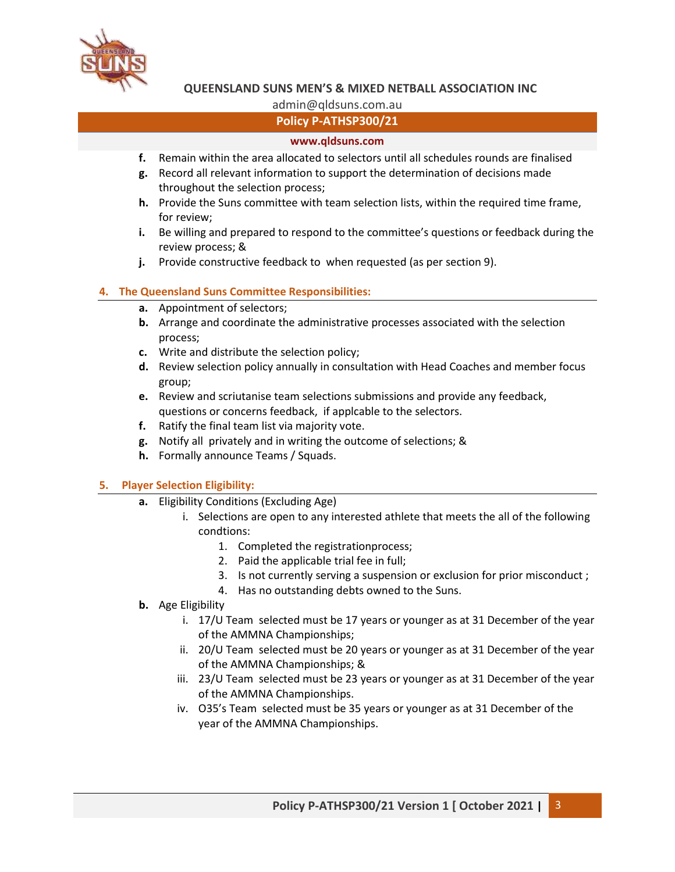

admin@qldsuns.com.au

# **Policy P-ATHSP300/21**

## **www.qldsuns.com**

- **f.** Remain within the area allocated to selectors until all schedules rounds are finalised
- **g.** Record all relevant information to support the determination of decisions made throughout the selection process;
- **h.** Provide the Suns committee with team selection lists, within the required time frame, for review;
- **i.** Be willing and prepared to respond to the committee's questions or feedback during the review process; &
- **j.** Provide constructive feedback to when requested (as per section 9).

## **4. The Queensland Suns Committee Responsibilities:**

- **a.** Appointment of selectors;
- **b.** Arrange and coordinate the administrative processes associated with the selection process;
- **c.** Write and distribute the selection policy;
- **d.** Review selection policy annually in consultation with Head Coaches and member focus group;
- **e.** Review and scriutanise team selections submissions and provide any feedback, questions or concerns feedback, if applcable to the selectors.
- **f.** Ratify the final team list via majority vote.
- **g.** Notify all privately and in writing the outcome of selections; &
- **h.** Formally announce Teams / Squads.

## **5. Player Selection Eligibility:**

- **a.** Eligibility Conditions (Excluding Age)
	- i. Selections are open to any interested athlete that meets the all of the following condtions:
		- 1. Completed the registrationprocess;
		- 2. Paid the applicable trial fee in full;
		- 3. Is not currently serving a suspension or exclusion for prior misconduct ;
		- 4. Has no outstanding debts owned to the Suns.
- **b.** Age Eligibility
	- i. 17/U Team selected must be 17 years or younger as at 31 December of the year of the AMMNA Championships;
	- ii. 20/U Team selected must be 20 years or younger as at 31 December of the year of the AMMNA Championships; &
	- iii. 23/U Team selected must be 23 years or younger as at 31 December of the year of the AMMNA Championships.
	- iv. O35's Team selected must be 35 years or younger as at 31 December of the year of the AMMNA Championships.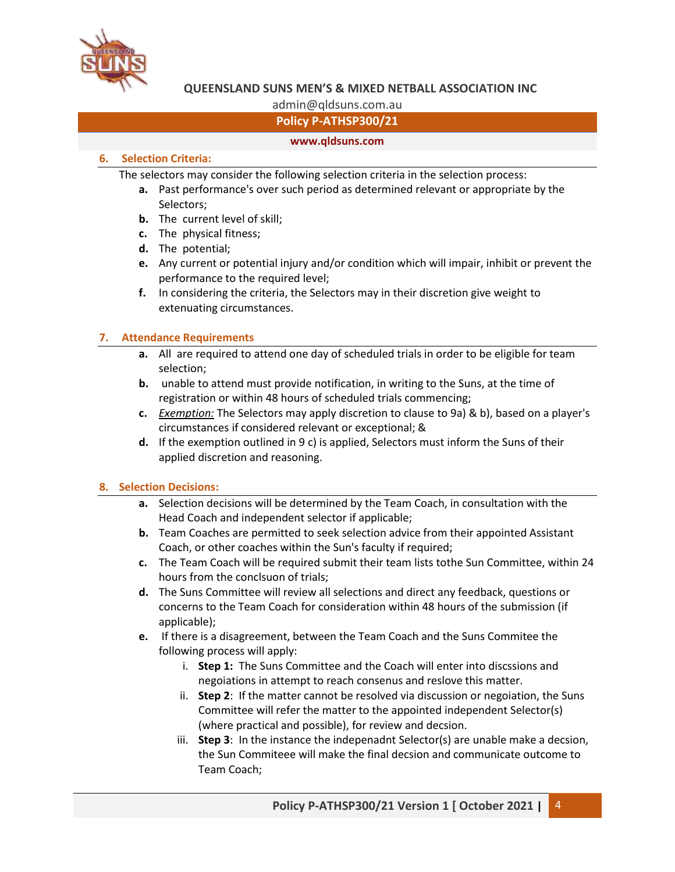

# admin@qldsuns.com.au

# **Policy P-ATHSP300/21**

#### **www.qldsuns.com**

#### **6. Selection Criteria:**

The selectors may consider the following selection criteria in the selection process:

- **a.** Past performance's over such period as determined relevant or appropriate by the Selectors;
- **b.** The current level of skill;
- **c.** The physical fitness;
- **d.** The potential;
- **e.** Any current or potential injury and/or condition which will impair, inhibit or prevent the performance to the required level;
- **f.** In considering the criteria, the Selectors may in their discretion give weight to extenuating circumstances.

## **7. Attendance Requirements**

- **a.** All are required to attend one day of scheduled trials in order to be eligible for team selection;
- **b.** unable to attend must provide notification, in writing to the Suns, at the time of registration or within 48 hours of scheduled trials commencing;
- **c.** *Exemption:* The Selectors may apply discretion to clause to 9a) & b), based on a player's circumstances if considered relevant or exceptional; &
- **d.** If the exemption outlined in 9 c) is applied, Selectors must inform the Suns of their applied discretion and reasoning.

#### **8. Selection Decisions:**

- **a.** Selection decisions will be determined by the Team Coach, in consultation with the Head Coach and independent selector if applicable;
- **b.** Team Coaches are permitted to seek selection advice from their appointed Assistant Coach, or other coaches within the Sun's faculty if required;
- **c.** The Team Coach will be required submit their team lists tothe Sun Committee, within 24 hours from the conclsuon of trials;
- **d.** The Suns Committee will review all selections and direct any feedback, questions or concerns to the Team Coach for consideration within 48 hours of the submission (if applicable);
- **e.** If there is a disagreement, between the Team Coach and the Suns Commitee the following process will apply:
	- i. **Step 1:** The Suns Committee and the Coach will enter into discssions and negoiations in attempt to reach consenus and reslove this matter.
	- ii. **Step 2**: If the matter cannot be resolved via discussion or negoiation, the Suns Committee will refer the matter to the appointed independent Selector(s) (where practical and possible), for review and decsion.
	- iii. **Step 3**: In the instance the indepenadnt Selector(s) are unable make a decsion, the Sun Commiteee will make the final decsion and communicate outcome to Team Coach;